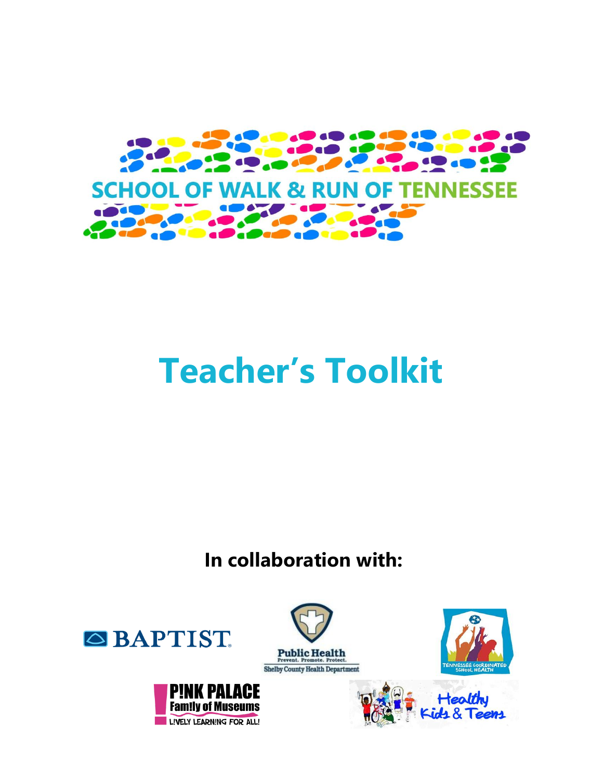

# **Teacher's Toolkit**

**In collaboration with:**

**Public Health** 





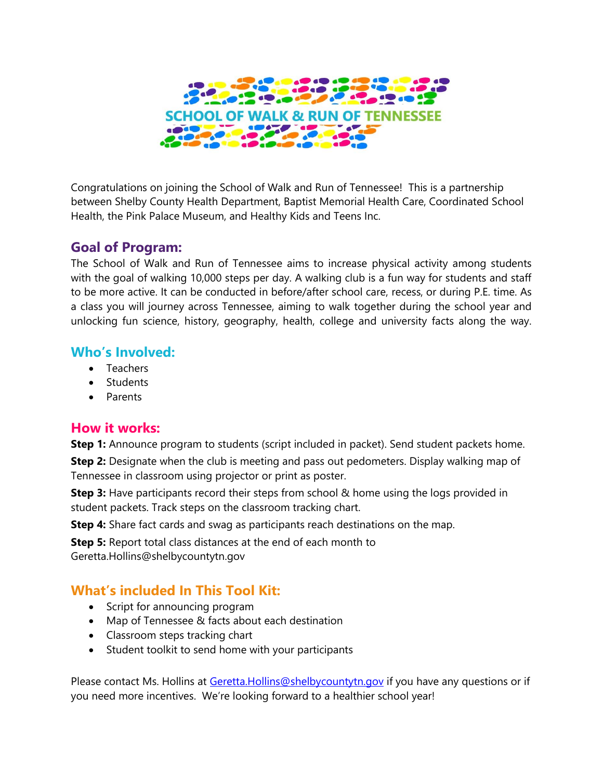

Congratulations on joining the School of Walk and Run of Tennessee! This is a partnership between Shelby County Health Department, Baptist Memorial Health Care, Coordinated School Health, the Pink Palace Museum, and Healthy Kids and Teens Inc.

#### **Goal of Program:**

The School of Walk and Run of Tennessee aims to increase physical activity among students with the goal of walking 10,000 steps per day. A walking club is a fun way for students and staff to be more active. It can be conducted in before/after school care, recess, or during P.E. time. As a class you will journey across Tennessee, aiming to walk together during the school year and unlocking fun science, history, geography, health, college and university facts along the way.

#### **Who's Involved:**

- Teachers
- Students
- Parents

#### **How it works:**

**Step 1:** Announce program to students (script included in packet). Send student packets home.

**Step 2:** Designate when the club is meeting and pass out pedometers. Display walking map of Tennessee in classroom using projector or print as poster.

**Step 3:** Have participants record their steps from school & home using the logs provided in student packets. Track steps on the classroom tracking chart.

**Step 4:** Share fact cards and swag as participants reach destinations on the map.

**Step 5:** Report total class distances at the end of each month to

Geretta.Hollins@shelbycountytn.gov

#### **What's included In This Tool Kit:**

- Script for announcing program
- Map of Tennessee & facts about each destination
- Classroom steps tracking chart
- Student toolkit to send home with your participants

Please contact Ms. Hollins at [Geretta.Hollins@shelbycountytn.gov](mailto:Geretta.Hollins@shelbycountytn.gov) if you have any questions or if you need more incentives. We're looking forward to a healthier school year!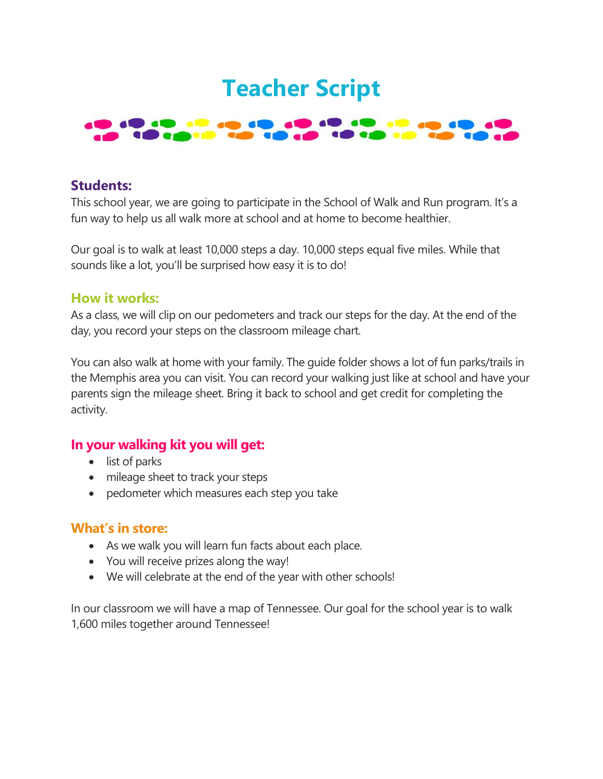### **Teacher Script**

#### **BIO DI COL District in 19 Department**

#### **Students:**

This school year, we are going to participate in the School of Walk and Run program. It's a fun way to help us all walk more at school and at home to become healthier.

Our goal is to walk at least 10,000 steps a day. 10,000 steps equal five miles. While that sounds like a lot, you'll be surprised how easy it is to do!

#### **How it works:**

As a class, we will clip on our pedometers and track our steps for the day. At the end of the day, you record your steps on the classroom mileage chart.

You can also walk at home with your family. The guide folder shows a lot of fun parks/trails in the Memphis area you can visit. You can record your walking just like at school and have your parents sign the mileage sheet. Bring it back to school and get credit for completing the activity.

#### **In your walking kit you will get:**

- list of parks
- mileage sheet to track your steps
- pedometer which measures each step you take

#### **What's in store:**

- As we walk you will learn fun facts about each place.
- You will receive prizes along the way!
- We will celebrate at the end of the year with other schools!

In our classroom we will have a map of Tennessee. Our goal for the school year is to walk 1,600 miles together around Tennessee!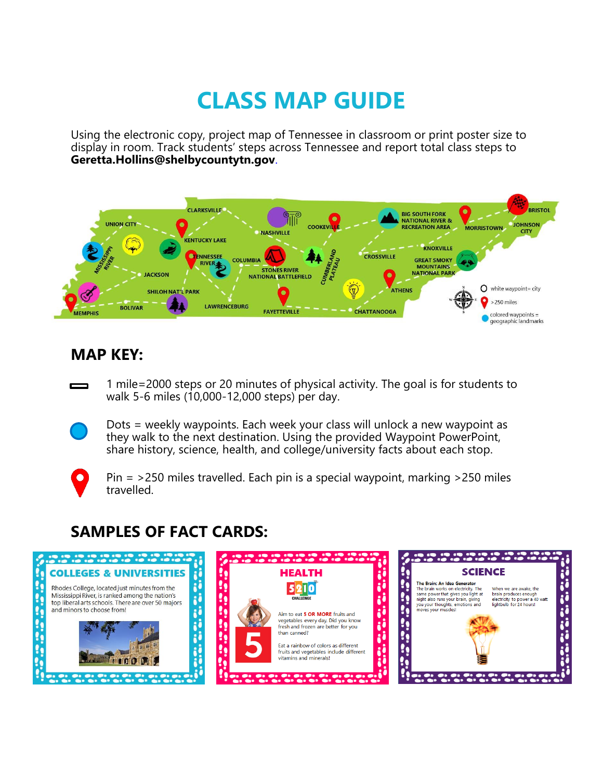## **CLASS MAP GUIDE**

Using the electronic copy, project map of Tennessee in classroom or print poster size to display in room. Track students' steps across Tennessee and report total class steps to **Geretta.Hollins@shelbycountytn.gov**.



#### **MAP KEY:**

1 mile=2000 steps or 20 minutes of physical activity. The goal is for students to walk 5-6 miles (10,000-12,000 steps) per day.

Dots = weekly waypoints. Each week your class will unlock a new waypoint as they walk to the next destination. Using the provided Waypoint PowerPoint, share history, science, health, and college/university facts about each stop.

 $\blacksquare$ 

Pin = >250 miles travelled. Each pin is a special waypoint, marking >250 miles travelled.

### **SAMPLES OF FACT CARDS:**